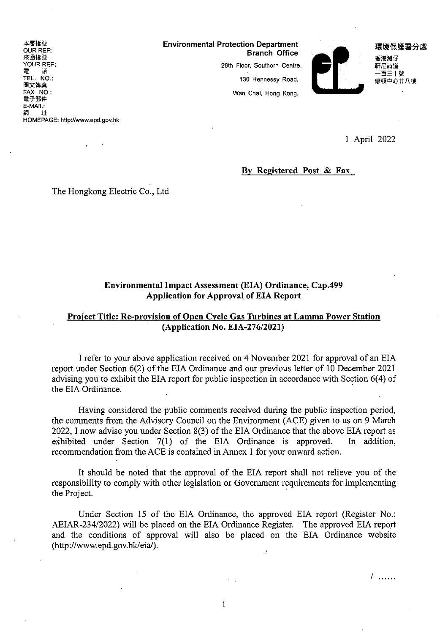本署檔號 OUR REF 來函檔號 YOUR REF: TEL. NO 圖文傳真 FAX NO: 電于郵件 E-MAIL:<br>網 <mark>址</mark> HOMEPAGE: http://www.epd.gov.hk

Environmental Protection Department YOUR REF: 28th Floor, Southorn Centre, 軒尼諾造

130 Hennessy Road,

Wan Chai, Hong Kong.



環境保護署分處 香港灣仔 百三十號 修頓中心甘八樓

1 April 2022

# By Registered Post & Fax

The Hongkong Electric Co., Ltd

# Environmental Impact Assessment (EIA) Ordinance, Cap.499 Application for Approval of EIA Report

# Project Title: Re-provision of Open Cycle Gas Turbines at Lamma Power Station (Application No. EIA-276/2021)

1 refer to your above application received on 4 November 2021 for approval ofan EIA report under Section 6(2) of the EIA Ordinance and our previous letter of 10 December 2021 advising you to exhibit the EIA report for public inspection in accordance with Section 6(4) of the EIA Ordinance.

Having considered the public comments received during the public inspection period, the comments from the Advisory Council on the Environment (ACE) given to us on 9 March 2022, 1 now advise you under Section 8(3) of the EIA Ordinance that the above EIA report as exhibited under Section 7(1) of the EIA Ordinance is approved. In addition, recommendation from the ACE is contained in Annex 1 for your onward action.

It should be noted that the approval of the EIA report shall not relieve you of the responsibility to comply with other legislation or Government requirements for implementing the Project.

Under Section 15 of the EIA Ordinance, the approved EIA report (Register No.: AEIAR-234/2022) will be placed on the EIA Ordinance Register. The approved EIA report and the conditions of approval will also be placed on the EIA Ordinance website (http://www.epd.gov.hk/eia/). ÿ

/ ......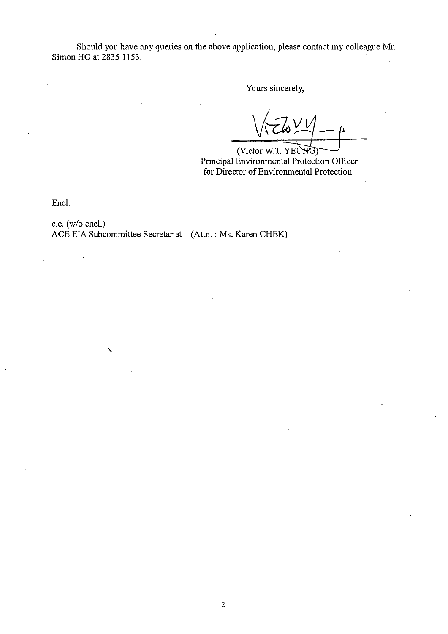Should you have any queries on the above application, please contact my colleague Mr. Simon HO at 2835 1153

Yours sincerely,

 $\sqrt{2}w^{\prime\prime}$ 

(Victor W.T. YEUNG) Principal Environmental Protection Officer for Director of Enviromnental Protection

Encl.

c.c. (w/o encl.) ACE EIA Subcommittee Secretariat (Attn.: Ms. Karen CHEK)